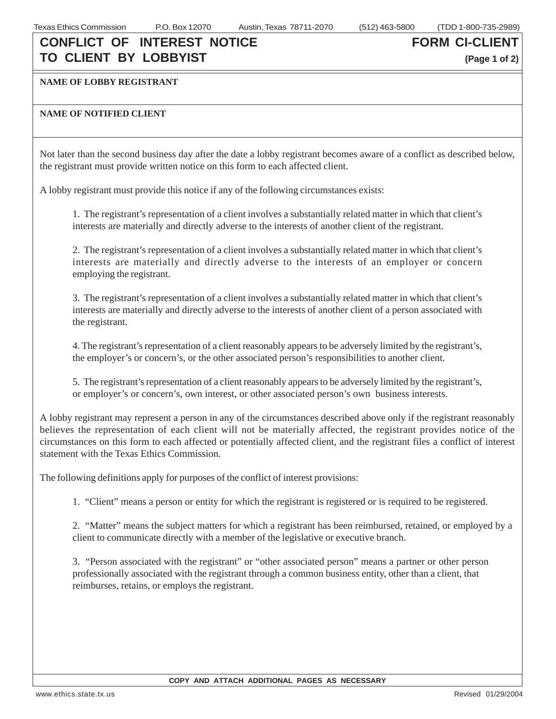### **CONFLICT OF INTEREST NOTICE TO CLIENT BY LOBBYIST**

**FORM CI-CLIENT**

**(Page 1 of 2)**

### **NAME OF LOBBY REGISTRANT**

### **NAME OF NOTIFIED CLIENT**

Not later than the second business day after the date a lobby registrant becomes aware of a conflict as described below, the registrant must provide written notice on this form to each affected client.

A lobby registrant must provide this notice if any of the following circumstances exists:

1. The registrant's representation of a client involves a substantially related matter in which that client's interests are materially and directly adverse to the interests of another client of the registrant.

2. The registrant's representation of a client involves a substantially related matter in which that client's interests are materially and directly adverse to the interests of an employer or concern employing the registrant.

3. The registrant's representation of a client involves a substantially related matter in which that client's interests are materially and directly adverse to the interests of another client of a person associated with the registrant.

4. The registrant's representation of a client reasonably appears to be adversely limited by the registrant's, the employer's or concern's, or the other associated person's responsibilities to another client.

5. The registrant's representation of a client reasonably appears to be adversely limited by the registrant's, or employer's or concern's, own interest, or other associated person's own business interests.

A lobby registrant may represent a person in any of the circumstances described above only if the registrant reasonably believes the representation of each client will not be materially affected, the registrant provides notice of the circumstances on this form to each affected or potentially affected client, and the registrant files a conflict of interest statement with the Texas Ethics Commission.

The following definitions apply for purposes of the conflict of interest provisions:

1. "Client" means a person or entity for which the registrant is registered or is required to be registered.

2. "Matter" means the subject matters for which a registrant has been reimbursed, retained, or employed by a client to communicate directly with a member of the legislative or executive branch.

3. "Person associated with the registrant" or "other associated person" means a partner or other person professionally associated with the registrant through a common business entity, other than a client, that reimburses, retains, or employs the registrant.